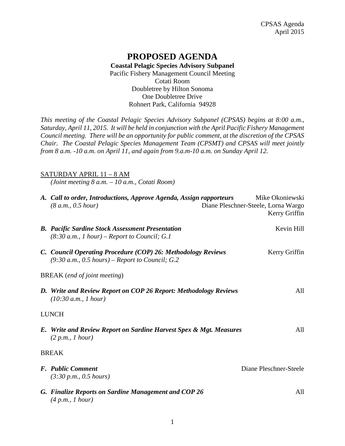## **PROPOSED AGENDA Coastal Pelagic Species Advisory Subpanel** Pacific Fishery Management Council Meeting Cotati Room Doubletree by Hilton Sonoma One Doubletree Drive Rohnert Park, California 94928

*This meeting of the Coastal Pelagic Species Advisory Subpanel (CPSAS) begins at 8:00 a.m., Saturday, April 11, 2015. It will be held in conjunction with the April Pacific Fishery Management Council meeting. There will be an opportunity for public comment, at the discretion of the CPSAS Chair. The Coastal Pelagic Species Management Team (CPSMT) and CPSAS will meet jointly from 8 a.m. -10 a.m. on April 11, and again from 9.a.m-10 a.m. on Sunday April 12.*

### SATURDAY APRIL 11 – 8 AM

*(Joint meeting 8 a.m. – 10 a.m., Cotati Room)*

| A. Call to order, Introductions, Approve Agenda, Assign rapporteurs<br>(8 a.m., 0.5 hour)                         | Mike Okoniewski<br>Diane Pleschner-Steele, Lorna Wargo<br>Kerry Griffin |
|-------------------------------------------------------------------------------------------------------------------|-------------------------------------------------------------------------|
| <b>B.</b> Pacific Sardine Stock Assessment Presentation<br>$(8:30 a.m., 1 hour)$ – Report to Council; G.1         | Kevin Hill                                                              |
| C. Council Operating Procedure (COP) 26: Methodology Reviews<br>$(9:30 a.m., 0.5 hours)$ – Report to Council; G.2 | Kerry Griffin                                                           |
| <b>BREAK</b> ( <i>end of joint meeting</i> )                                                                      |                                                                         |
| D. Write and Review Report on COP 26 Report: Methodology Reviews<br>(10:30 a.m., 1 hour)                          | All                                                                     |
| <b>LUNCH</b>                                                                                                      |                                                                         |
| E. Write and Review Report on Sardine Harvest Spex & Mgt. Measures<br>(2 p.m., I hour)                            | All                                                                     |
| <b>BREAK</b>                                                                                                      |                                                                         |
| <b>F.</b> Public Comment<br>(3:30 p.m., 0.5 hours)                                                                | Diane Pleschner-Steele                                                  |
| G. Finalize Reports on Sardine Management and COP 26<br>(4 p.m., 1 hour)                                          | All                                                                     |